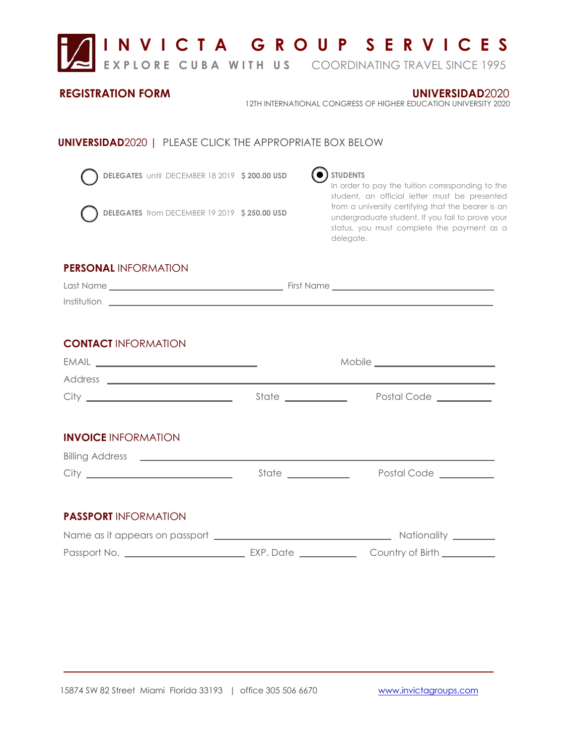

**DELEGATES** until DECEMBER 18 2019  **\$ 200.00 USD** 



**DELEGATES** from DECEMBER 19 2019  **\$ 250.00 USD**



## $\odot$  students

In order to pay the tuition corresponding to the student, an official letter must be presented from a university certifying that the bearer is an undergraduate student. If you fail to prove your status, you must complete the payment as a delegate.

## **PERSONAL** INFORMATION

| Last Name   | First Name |
|-------------|------------|
| Institution |            |

## **CONTACT** INFORMATION

|                                                            | State ____________  | Postal Code _________  |
|------------------------------------------------------------|---------------------|------------------------|
|                                                            |                     |                        |
| <b>INVOICE INFORMATION</b>                                 |                     |                        |
| Billing Address <b>Law Manual Community of the Address</b> |                     |                        |
|                                                            | State _____________ | Postal Code __________ |
|                                                            |                     |                        |
| <b>PASSPORT INFORMATION</b>                                |                     |                        |
|                                                            |                     |                        |
|                                                            |                     |                        |